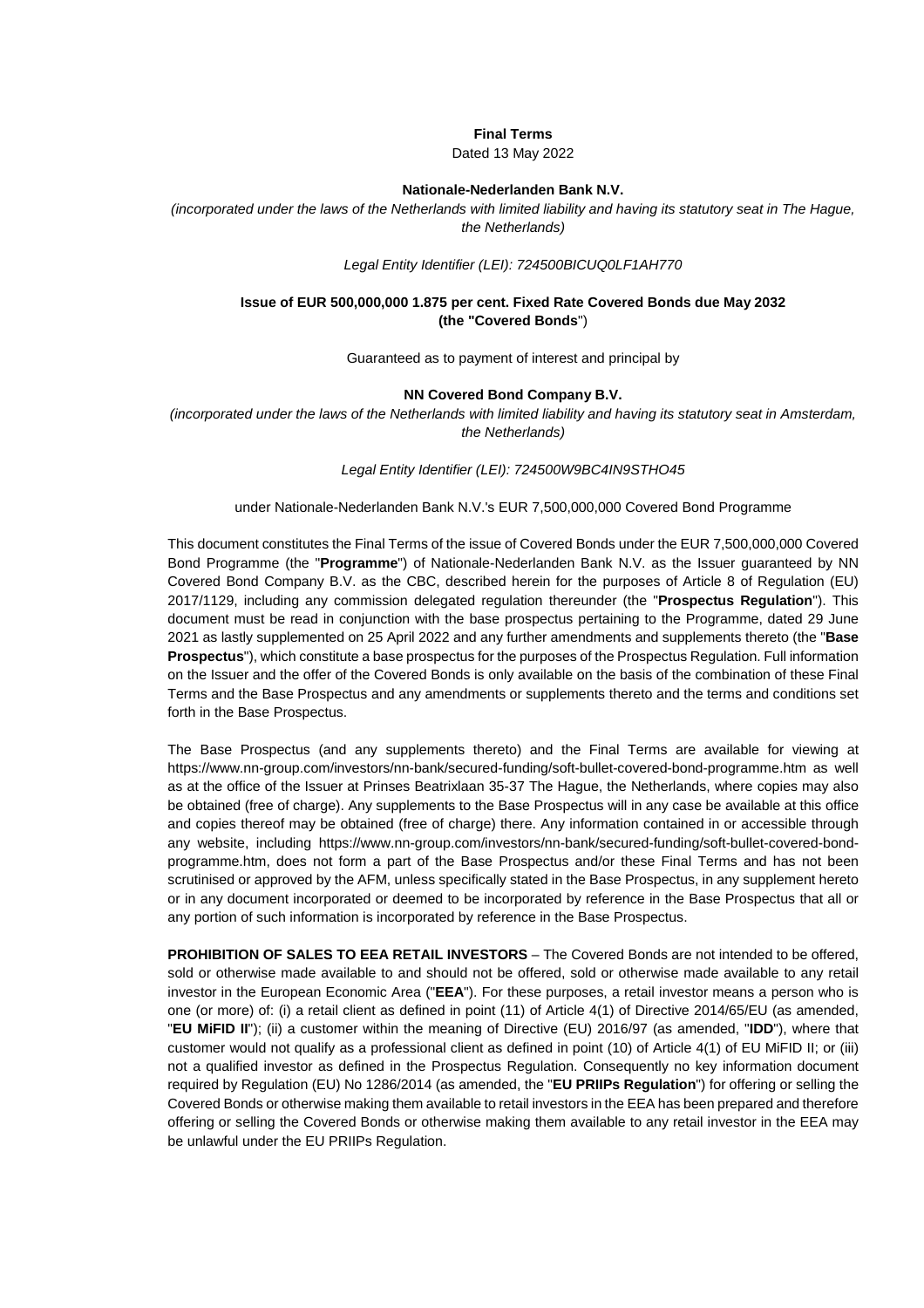### **Final Terms**

Dated 13 May 2022

#### **Nationale-Nederlanden Bank N.V.**

*(incorporated under the laws of the Netherlands with limited liability and having its statutory seat in The Hague, the Netherlands)* 

## *Legal Entity Identifier (LEI): 724500BICUQ0LF1AH770*

## **Issue of EUR 500,000,000 1.875 per cent. Fixed Rate Covered Bonds due May 2032 (the "Covered Bonds**")

Guaranteed as to payment of interest and principal by

#### **NN Covered Bond Company B.V.**

*(incorporated under the laws of the Netherlands with limited liability and having its statutory seat in Amsterdam, the Netherlands)* 

### *Legal Entity Identifier (LEI): 724500W9BC4IN9STHO45*

## under Nationale-Nederlanden Bank N.V.'s EUR 7,500,000,000 Covered Bond Programme

This document constitutes the Final Terms of the issue of Covered Bonds under the EUR 7,500,000,000 Covered Bond Programme (the "**Programme**") of Nationale-Nederlanden Bank N.V. as the Issuer guaranteed by NN Covered Bond Company B.V. as the CBC, described herein for the purposes of Article 8 of Regulation (EU) 2017/1129, including any commission delegated regulation thereunder (the "**Prospectus Regulation**"). This document must be read in conjunction with the base prospectus pertaining to the Programme, dated 29 June 2021 as lastly supplemented on 25 April 2022 and any further amendments and supplements thereto (the "**Base Prospectus**"), which constitute a base prospectus for the purposes of the Prospectus Regulation. Full information on the Issuer and the offer of the Covered Bonds is only available on the basis of the combination of these Final Terms and the Base Prospectus and any amendments or supplements thereto and the terms and conditions set forth in the Base Prospectus.

The Base Prospectus (and any supplements thereto) and the Final Terms are available for viewing at https://www.nn-group.com/investors/nn-bank/secured-funding/soft-bullet-covered-bond-programme.htm as well as at the office of the Issuer at Prinses Beatrixlaan 35-37 The Hague, the Netherlands, where copies may also be obtained (free of charge). Any supplements to the Base Prospectus will in any case be available at this office and copies thereof may be obtained (free of charge) there. Any information contained in or accessible through any website, including https://www.nn-group.com/investors/nn-bank/secured-funding/soft-bullet-covered-bondprogramme.htm, does not form a part of the Base Prospectus and/or these Final Terms and has not been scrutinised or approved by the AFM, unless specifically stated in the Base Prospectus, in any supplement hereto or in any document incorporated or deemed to be incorporated by reference in the Base Prospectus that all or any portion of such information is incorporated by reference in the Base Prospectus.

**PROHIBITION OF SALES TO EEA RETAIL INVESTORS** – The Covered Bonds are not intended to be offered, sold or otherwise made available to and should not be offered, sold or otherwise made available to any retail investor in the European Economic Area ("**EEA**"). For these purposes, a retail investor means a person who is one (or more) of: (i) a retail client as defined in point (11) of Article 4(1) of Directive 2014/65/EU (as amended, "**EU MiFID II**"); (ii) a customer within the meaning of Directive (EU) 2016/97 (as amended, "**IDD**"), where that customer would not qualify as a professional client as defined in point (10) of Article 4(1) of EU MiFID II; or (iii) not a qualified investor as defined in the Prospectus Regulation. Consequently no key information document required by Regulation (EU) No 1286/2014 (as amended, the "**EU PRIIPs Regulation**") for offering or selling the Covered Bonds or otherwise making them available to retail investors in the EEA has been prepared and therefore offering or selling the Covered Bonds or otherwise making them available to any retail investor in the EEA may be unlawful under the EU PRIIPs Regulation.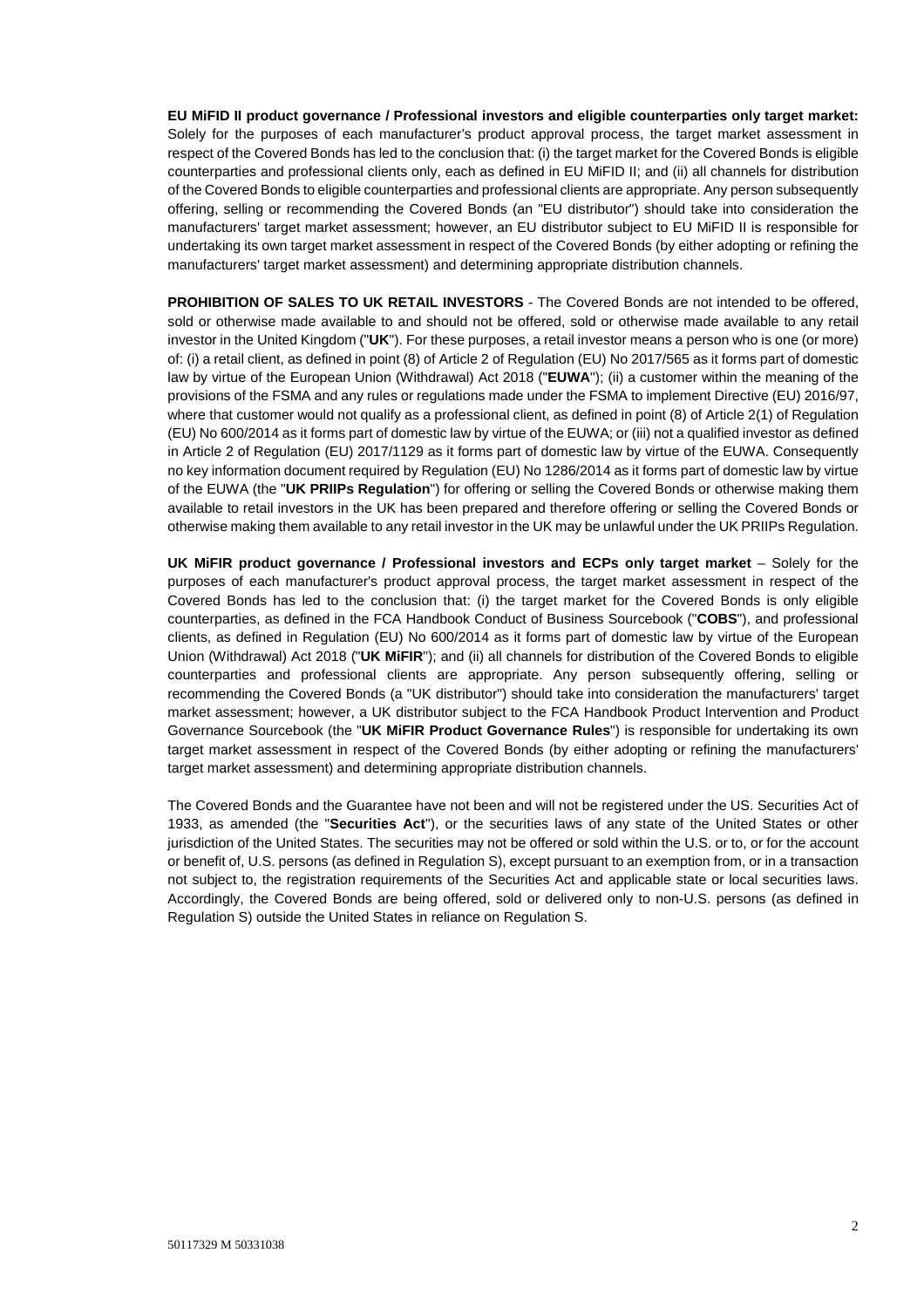**EU MiFID II product governance / Professional investors and eligible counterparties only target market:**  Solely for the purposes of each manufacturer's product approval process, the target market assessment in respect of the Covered Bonds has led to the conclusion that: (i) the target market for the Covered Bonds is eligible counterparties and professional clients only, each as defined in EU MiFID II; and (ii) all channels for distribution of the Covered Bonds to eligible counterparties and professional clients are appropriate. Any person subsequently offering, selling or recommending the Covered Bonds (an "EU distributor") should take into consideration the manufacturers' target market assessment; however, an EU distributor subject to EU MiFID II is responsible for undertaking its own target market assessment in respect of the Covered Bonds (by either adopting or refining the manufacturers' target market assessment) and determining appropriate distribution channels.

**PROHIBITION OF SALES TO UK RETAIL INVESTORS** - The Covered Bonds are not intended to be offered, sold or otherwise made available to and should not be offered, sold or otherwise made available to any retail investor in the United Kingdom ("**UK**"). For these purposes, a retail investor means a person who is one (or more) of: (i) a retail client, as defined in point (8) of Article 2 of Regulation (EU) No 2017/565 as it forms part of domestic law by virtue of the European Union (Withdrawal) Act 2018 ("**EUWA**"); (ii) a customer within the meaning of the provisions of the FSMA and any rules or regulations made under the FSMA to implement Directive (EU) 2016/97, where that customer would not qualify as a professional client, as defined in point (8) of Article 2(1) of Regulation (EU) No 600/2014 as it forms part of domestic law by virtue of the EUWA; or (iii) not a qualified investor as defined in Article 2 of Regulation (EU) 2017/1129 as it forms part of domestic law by virtue of the EUWA. Consequently no key information document required by Regulation (EU) No 1286/2014 as it forms part of domestic law by virtue of the EUWA (the "**UK PRIIPs Regulation**") for offering or selling the Covered Bonds or otherwise making them available to retail investors in the UK has been prepared and therefore offering or selling the Covered Bonds or otherwise making them available to any retail investor in the UK may be unlawful under the UK PRIIPs Regulation.

**UK MiFIR product governance / Professional investors and ECPs only target market** – Solely for the purposes of each manufacturer's product approval process, the target market assessment in respect of the Covered Bonds has led to the conclusion that: (i) the target market for the Covered Bonds is only eligible counterparties, as defined in the FCA Handbook Conduct of Business Sourcebook ("**COBS**"), and professional clients, as defined in Regulation (EU) No 600/2014 as it forms part of domestic law by virtue of the European Union (Withdrawal) Act 2018 ("**UK MiFIR**"); and (ii) all channels for distribution of the Covered Bonds to eligible counterparties and professional clients are appropriate. Any person subsequently offering, selling or recommending the Covered Bonds (a "UK distributor") should take into consideration the manufacturers' target market assessment; however, a UK distributor subject to the FCA Handbook Product Intervention and Product Governance Sourcebook (the "**UK MiFIR Product Governance Rules**") is responsible for undertaking its own target market assessment in respect of the Covered Bonds (by either adopting or refining the manufacturers' target market assessment) and determining appropriate distribution channels.

The Covered Bonds and the Guarantee have not been and will not be registered under the US. Securities Act of 1933, as amended (the "**Securities Act**"), or the securities laws of any state of the United States or other jurisdiction of the United States. The securities may not be offered or sold within the U.S. or to, or for the account or benefit of, U.S. persons (as defined in Regulation S), except pursuant to an exemption from, or in a transaction not subject to, the registration requirements of the Securities Act and applicable state or local securities laws. Accordingly, the Covered Bonds are being offered, sold or delivered only to non-U.S. persons (as defined in Regulation S) outside the United States in reliance on Regulation S.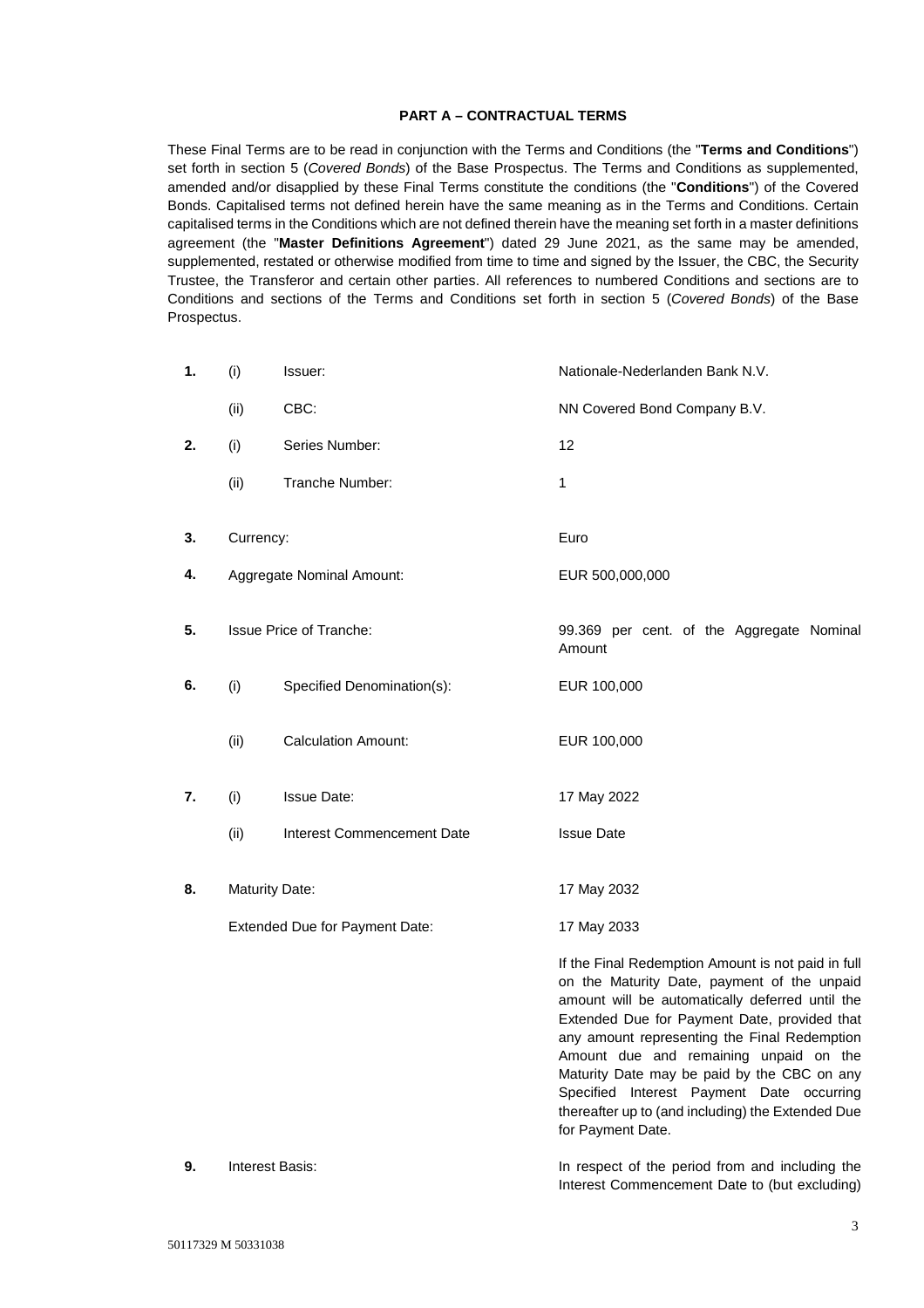## **PART A – CONTRACTUAL TERMS**

These Final Terms are to be read in conjunction with the Terms and Conditions (the "**Terms and Conditions**") set forth in section 5 (*Covered Bonds*) of the Base Prospectus. The Terms and Conditions as supplemented, amended and/or disapplied by these Final Terms constitute the conditions (the "**Conditions**") of the Covered Bonds. Capitalised terms not defined herein have the same meaning as in the Terms and Conditions. Certain capitalised terms in the Conditions which are not defined therein have the meaning set forth in a master definitions agreement (the "**Master Definitions Agreement**") dated 29 June 2021, as the same may be amended, supplemented, restated or otherwise modified from time to time and signed by the Issuer, the CBC, the Security Trustee, the Transferor and certain other parties. All references to numbered Conditions and sections are to Conditions and sections of the Terms and Conditions set forth in section 5 (*Covered Bonds*) of the Base Prospectus.

| 1. | (i)                            | Issuer:                    | Nationale-Nederlanden Bank N.V.                                                                                                                                                                                                                                                                                                                                                                                                                                      |
|----|--------------------------------|----------------------------|----------------------------------------------------------------------------------------------------------------------------------------------------------------------------------------------------------------------------------------------------------------------------------------------------------------------------------------------------------------------------------------------------------------------------------------------------------------------|
|    | (ii)                           | CBC:                       | NN Covered Bond Company B.V.                                                                                                                                                                                                                                                                                                                                                                                                                                         |
| 2. | (i)                            | Series Number:             | 12                                                                                                                                                                                                                                                                                                                                                                                                                                                                   |
|    | (ii)                           | Tranche Number:            | 1                                                                                                                                                                                                                                                                                                                                                                                                                                                                    |
| 3. | Currency:                      |                            | Euro                                                                                                                                                                                                                                                                                                                                                                                                                                                                 |
| 4. | Aggregate Nominal Amount:      |                            | EUR 500,000,000                                                                                                                                                                                                                                                                                                                                                                                                                                                      |
| 5. | <b>Issue Price of Tranche:</b> |                            | 99.369 per cent. of the Aggregate Nominal<br>Amount                                                                                                                                                                                                                                                                                                                                                                                                                  |
| 6. | (i)                            | Specified Denomination(s): | EUR 100,000                                                                                                                                                                                                                                                                                                                                                                                                                                                          |
|    | (ii)                           | <b>Calculation Amount:</b> | EUR 100,000                                                                                                                                                                                                                                                                                                                                                                                                                                                          |
| 7. | (i)                            | <b>Issue Date:</b>         | 17 May 2022                                                                                                                                                                                                                                                                                                                                                                                                                                                          |
|    | (ii)                           | Interest Commencement Date | <b>Issue Date</b>                                                                                                                                                                                                                                                                                                                                                                                                                                                    |
| 8. | Maturity Date:                 |                            | 17 May 2032                                                                                                                                                                                                                                                                                                                                                                                                                                                          |
|    | Extended Due for Payment Date: |                            | 17 May 2033                                                                                                                                                                                                                                                                                                                                                                                                                                                          |
|    |                                |                            | If the Final Redemption Amount is not paid in full<br>on the Maturity Date, payment of the unpaid<br>amount will be automatically deferred until the<br>Extended Due for Payment Date, provided that<br>any amount representing the Final Redemption<br>Amount due and remaining unpaid on the<br>Maturity Date may be paid by the CBC on any<br>Specified Interest Payment Date occurring<br>thereafter up to (and including) the Extended Due<br>for Payment Date. |
| 9. | Interest Basis:                |                            | In respect of the period from and including the                                                                                                                                                                                                                                                                                                                                                                                                                      |

Interest Commencement Date to (but excluding)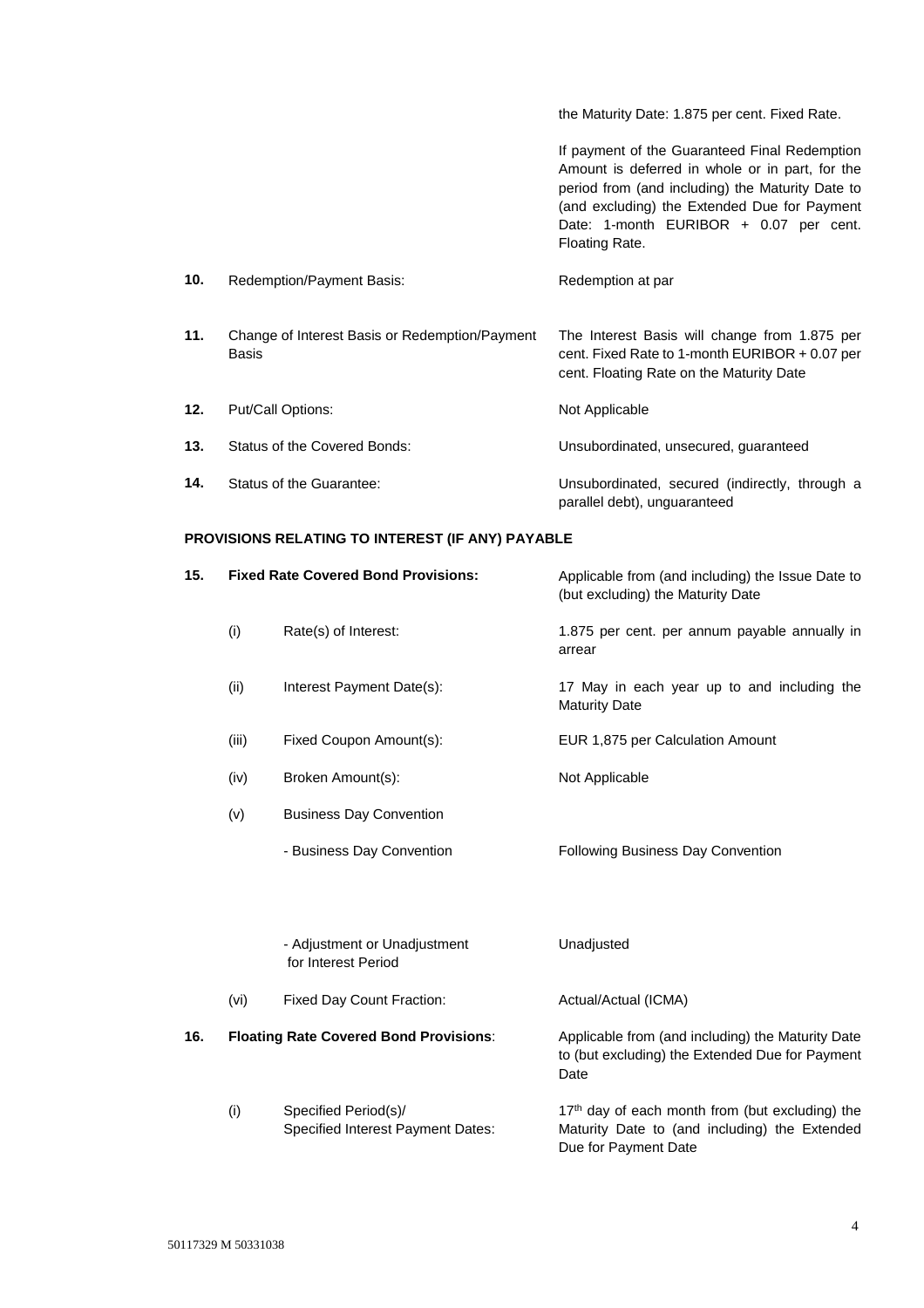the Maturity Date: 1.875 per cent. Fixed Rate.

 If payment of the Guaranteed Final Redemption Amount is deferred in whole or in part, for the period from (and including) the Maturity Date to (and excluding) the Extended Due for Payment Date: 1-month EURIBOR + 0.07 per cent. Floating Rate.

| 10. | Redemption/Payment Basis:                               | Redemption at par                                                                                                                            |
|-----|---------------------------------------------------------|----------------------------------------------------------------------------------------------------------------------------------------------|
| 11. | Change of Interest Basis or Redemption/Payment<br>Basis | The Interest Basis will change from 1.875 per<br>cent. Fixed Rate to 1-month EURIBOR $+0.07$ per<br>cent. Floating Rate on the Maturity Date |
| 12. | Put/Call Options:                                       | Not Applicable                                                                                                                               |
| 13. | Status of the Covered Bonds:                            | Unsubordinated, unsecured, quaranteed                                                                                                        |
| 14. | Status of the Guarantee:                                | Unsubordinated, secured (indirectly, through a<br>parallel debt), unguaranteed                                                               |

# **PROVISIONS RELATING TO INTEREST (IF ANY) PAYABLE**

| 15. | <b>Fixed Rate Covered Bond Provisions:</b> |                                                                  | Applicable from (and including) the Issue Date to<br>(but excluding) the Maturity Date                                               |
|-----|--------------------------------------------|------------------------------------------------------------------|--------------------------------------------------------------------------------------------------------------------------------------|
|     | (i)                                        | Rate(s) of Interest:                                             | 1.875 per cent. per annum payable annually in<br>arrear                                                                              |
|     | (ii)                                       | Interest Payment Date(s):                                        | 17 May in each year up to and including the<br><b>Maturity Date</b>                                                                  |
|     | (iii)                                      | Fixed Coupon Amount(s):                                          | EUR 1,875 per Calculation Amount                                                                                                     |
|     | (iv)                                       | Broken Amount(s):                                                | Not Applicable                                                                                                                       |
|     | (v)                                        | <b>Business Day Convention</b>                                   |                                                                                                                                      |
|     |                                            | - Business Day Convention                                        | Following Business Day Convention                                                                                                    |
|     |                                            | - Adjustment or Unadjustment<br>for Interest Period              | Unadjusted                                                                                                                           |
|     | (vi)                                       | Fixed Day Count Fraction:                                        | Actual/Actual (ICMA)                                                                                                                 |
| 16. |                                            | <b>Floating Rate Covered Bond Provisions:</b>                    | Applicable from (and including) the Maturity Date<br>to (but excluding) the Extended Due for Payment<br>Date                         |
|     | (i)                                        | Specified Period(s)/<br><b>Specified Interest Payment Dates:</b> | 17 <sup>th</sup> day of each month from (but excluding) the<br>Maturity Date to (and including) the Extended<br>Due for Payment Date |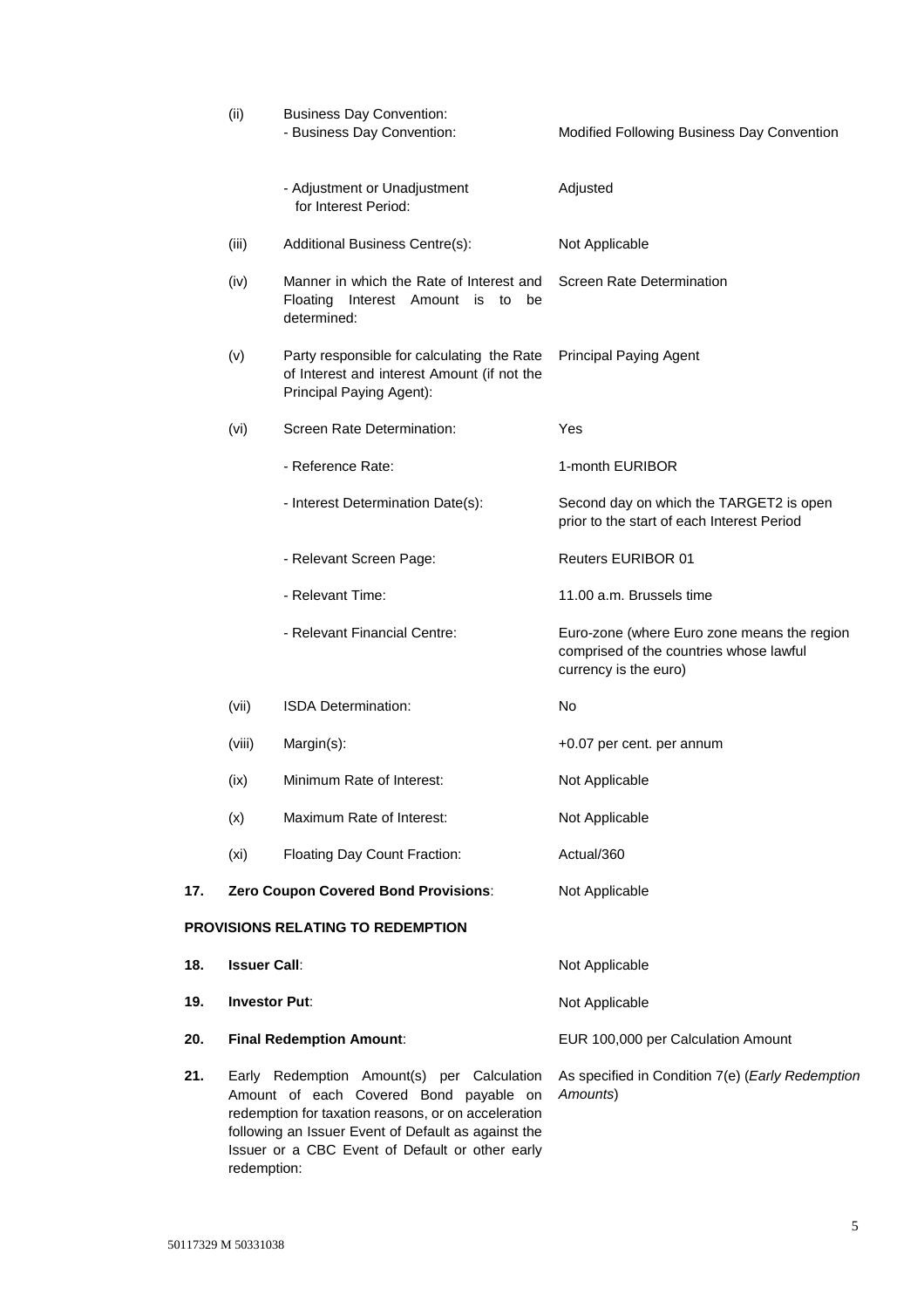|     | (ii)                            | <b>Business Day Convention:</b><br>- Business Day Convention:                                                                                                                                                                                         | Modified Following Business Day Convention                                                                      |
|-----|---------------------------------|-------------------------------------------------------------------------------------------------------------------------------------------------------------------------------------------------------------------------------------------------------|-----------------------------------------------------------------------------------------------------------------|
|     |                                 | - Adjustment or Unadjustment<br>for Interest Period:                                                                                                                                                                                                  | Adjusted                                                                                                        |
|     | (iii)                           | Additional Business Centre(s):                                                                                                                                                                                                                        | Not Applicable                                                                                                  |
|     | (iv)                            | Manner in which the Rate of Interest and<br>Floating Interest Amount is to be<br>determined:                                                                                                                                                          | Screen Rate Determination                                                                                       |
|     | (v)                             | Party responsible for calculating the Rate<br>of Interest and interest Amount (if not the<br>Principal Paying Agent):                                                                                                                                 | <b>Principal Paying Agent</b>                                                                                   |
|     | (vi)                            | Screen Rate Determination:                                                                                                                                                                                                                            | Yes                                                                                                             |
|     |                                 | - Reference Rate:                                                                                                                                                                                                                                     | 1-month EURIBOR                                                                                                 |
|     |                                 | - Interest Determination Date(s):                                                                                                                                                                                                                     | Second day on which the TARGET2 is open<br>prior to the start of each Interest Period                           |
|     |                                 | - Relevant Screen Page:                                                                                                                                                                                                                               | <b>Reuters EURIBOR 01</b>                                                                                       |
|     |                                 | - Relevant Time:                                                                                                                                                                                                                                      | 11.00 a.m. Brussels time                                                                                        |
|     |                                 | - Relevant Financial Centre:                                                                                                                                                                                                                          | Euro-zone (where Euro zone means the region<br>comprised of the countries whose lawful<br>currency is the euro) |
|     | (vii)                           | <b>ISDA Determination:</b>                                                                                                                                                                                                                            | No                                                                                                              |
|     | (viii)                          | Margin(s):                                                                                                                                                                                                                                            | +0.07 per cent. per annum                                                                                       |
|     | (ix)                            | Minimum Rate of Interest:                                                                                                                                                                                                                             | Not Applicable                                                                                                  |
|     | (x)                             | Maximum Rate of Interest:                                                                                                                                                                                                                             | Not Applicable                                                                                                  |
|     | (x <sub>i</sub> )               | Floating Day Count Fraction:                                                                                                                                                                                                                          | Actual/360                                                                                                      |
| 17. |                                 | Zero Coupon Covered Bond Provisions:                                                                                                                                                                                                                  | Not Applicable                                                                                                  |
|     |                                 | <b>PROVISIONS RELATING TO REDEMPTION</b>                                                                                                                                                                                                              |                                                                                                                 |
| 18. | <b>Issuer Call:</b>             |                                                                                                                                                                                                                                                       | Not Applicable                                                                                                  |
| 19. | <b>Investor Put:</b>            |                                                                                                                                                                                                                                                       | Not Applicable                                                                                                  |
| 20. | <b>Final Redemption Amount:</b> |                                                                                                                                                                                                                                                       | EUR 100,000 per Calculation Amount                                                                              |
| 21. |                                 | Early Redemption Amount(s) per Calculation<br>Amount of each Covered Bond payable on<br>redemption for taxation reasons, or on acceleration<br>following an Issuer Event of Default as against the<br>Issuer or a CBC Event of Default or other early | As specified in Condition 7(e) (Early Redemption<br>Amounts)                                                    |

redemption: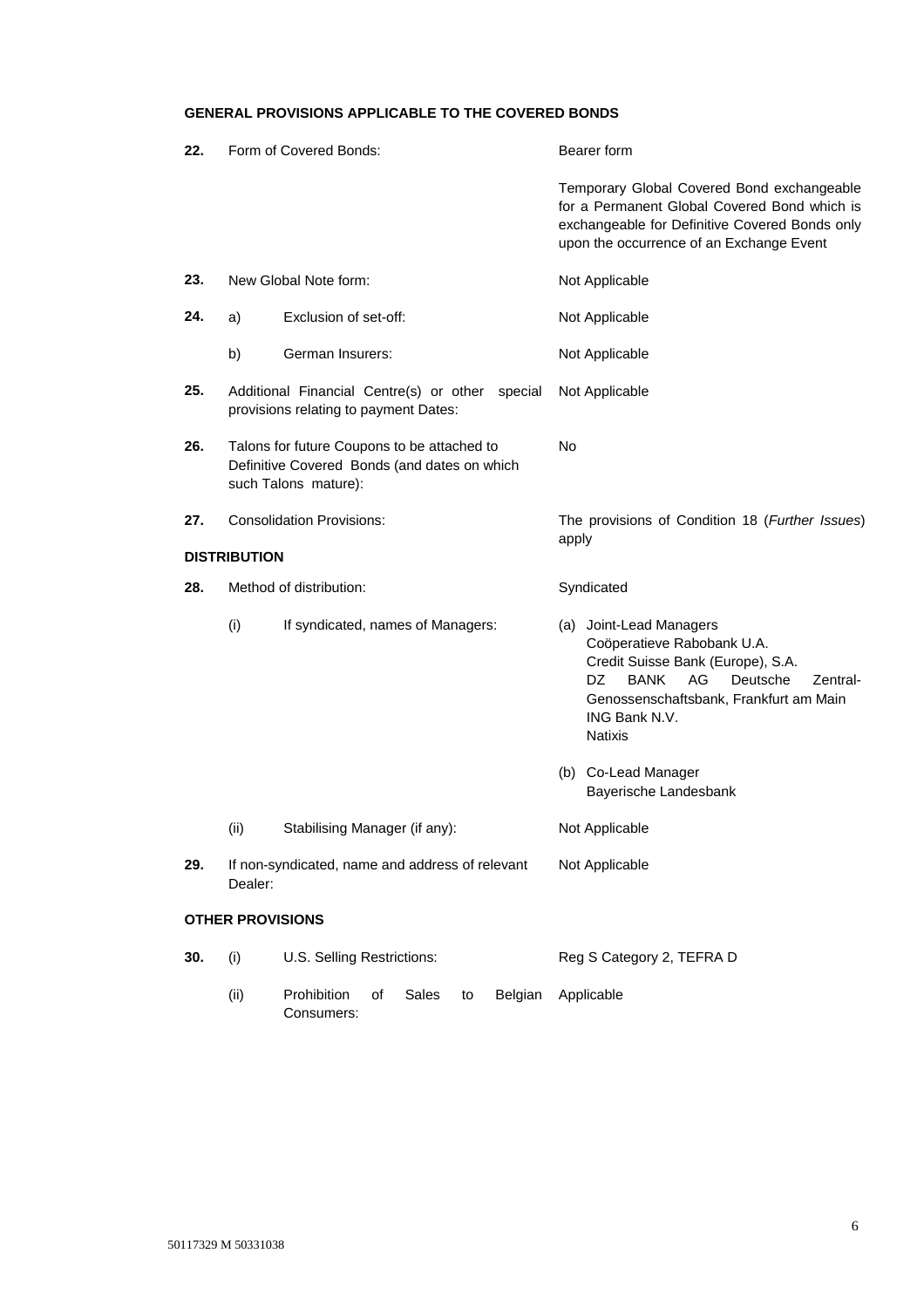# **GENERAL PROVISIONS APPLICABLE TO THE COVERED BONDS**

| 22. | Form of Covered Bonds:                                                                                              |                                                           |       | Bearer form                                                                                                                                                                                                                |  |
|-----|---------------------------------------------------------------------------------------------------------------------|-----------------------------------------------------------|-------|----------------------------------------------------------------------------------------------------------------------------------------------------------------------------------------------------------------------------|--|
|     |                                                                                                                     |                                                           |       | Temporary Global Covered Bond exchangeable<br>for a Permanent Global Covered Bond which is<br>exchangeable for Definitive Covered Bonds only<br>upon the occurrence of an Exchange Event                                   |  |
| 23. |                                                                                                                     | New Global Note form:                                     |       | Not Applicable                                                                                                                                                                                                             |  |
| 24. | a)                                                                                                                  | Exclusion of set-off:                                     |       | Not Applicable                                                                                                                                                                                                             |  |
|     | b)                                                                                                                  | German Insurers:                                          |       | Not Applicable                                                                                                                                                                                                             |  |
| 25. | Additional Financial Centre(s) or other special<br>provisions relating to payment Dates:                            |                                                           |       | Not Applicable                                                                                                                                                                                                             |  |
| 26. | Talons for future Coupons to be attached to<br>Definitive Covered Bonds (and dates on which<br>such Talons mature): |                                                           | No    |                                                                                                                                                                                                                            |  |
| 27. | <b>Consolidation Provisions:</b>                                                                                    |                                                           | apply | The provisions of Condition 18 (Further Issues)                                                                                                                                                                            |  |
|     | <b>DISTRIBUTION</b>                                                                                                 |                                                           |       |                                                                                                                                                                                                                            |  |
| 28. | Method of distribution:                                                                                             |                                                           |       | Syndicated                                                                                                                                                                                                                 |  |
|     | (i)                                                                                                                 | If syndicated, names of Managers:                         |       | (a) Joint-Lead Managers<br>Coöperatieve Rabobank U.A.<br>Credit Suisse Bank (Europe), S.A.<br>DZ<br><b>BANK</b><br>AG<br>Deutsche<br>Zentral-<br>Genossenschaftsbank, Frankfurt am Main<br>ING Bank N.V.<br><b>Natixis</b> |  |
|     |                                                                                                                     |                                                           |       | (b) Co-Lead Manager<br>Bayerische Landesbank                                                                                                                                                                               |  |
|     | (ii)                                                                                                                | Stabilising Manager (if any):                             |       | Not Applicable                                                                                                                                                                                                             |  |
| 29. | Dealer:                                                                                                             | If non-syndicated, name and address of relevant           |       | Not Applicable                                                                                                                                                                                                             |  |
|     | <b>OTHER PROVISIONS</b>                                                                                             |                                                           |       |                                                                                                                                                                                                                            |  |
| 30. | (i)                                                                                                                 | U.S. Selling Restrictions:                                |       | Reg S Category 2, TEFRA D                                                                                                                                                                                                  |  |
|     | (ii)                                                                                                                | Prohibition<br>Sales<br>Belgian<br>οf<br>to<br>Consumers: |       | Applicable                                                                                                                                                                                                                 |  |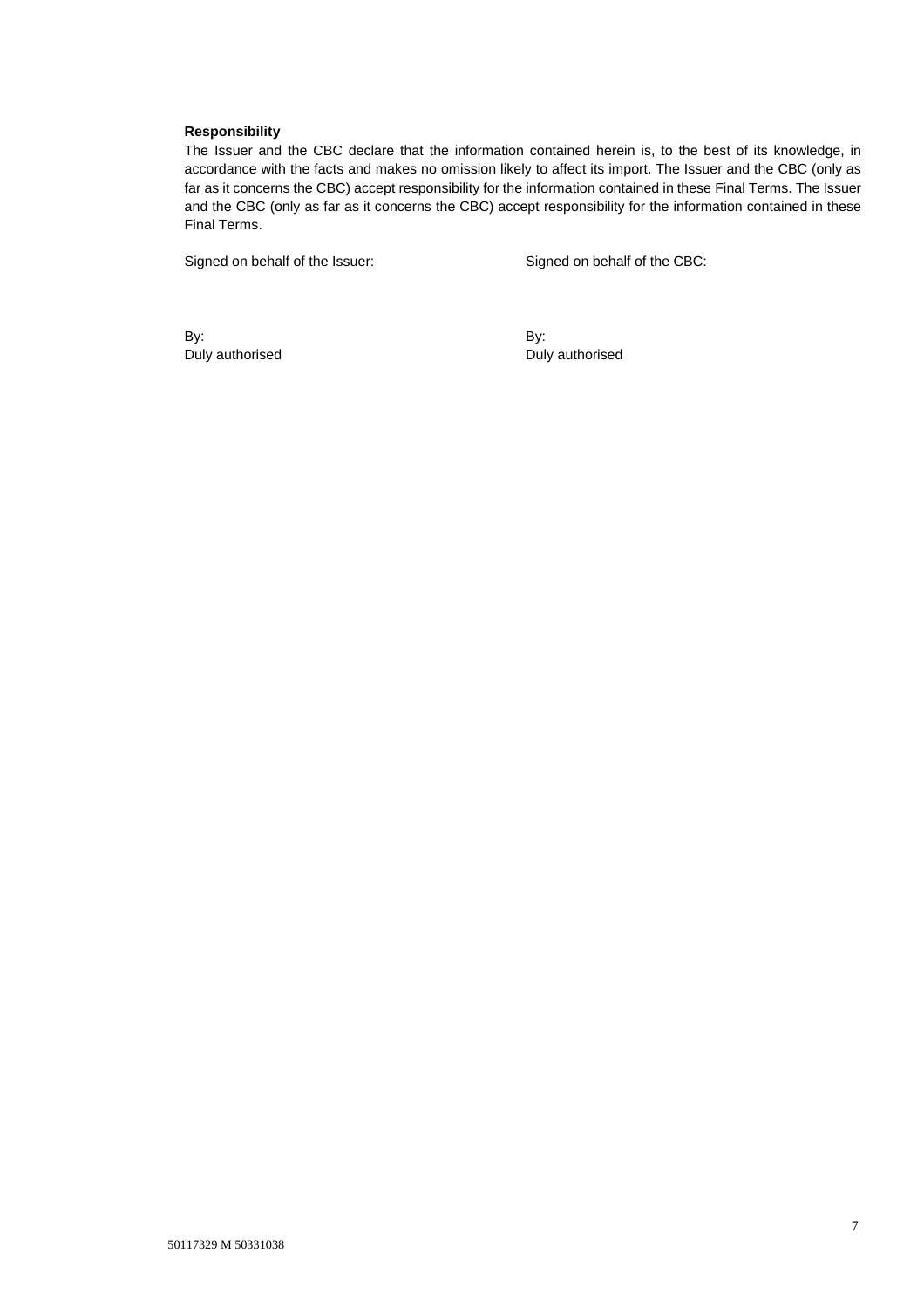## **Responsibility**

The Issuer and the CBC declare that the information contained herein is, to the best of its knowledge, in accordance with the facts and makes no omission likely to affect its import. The Issuer and the CBC (only as far as it concerns the CBC) accept responsibility for the information contained in these Final Terms. The Issuer and the CBC (only as far as it concerns the CBC) accept responsibility for the information contained in these Final Terms.

Signed on behalf of the Issuer: Signed on behalf of the CBC:

By: Duly authorised By: Duly authorised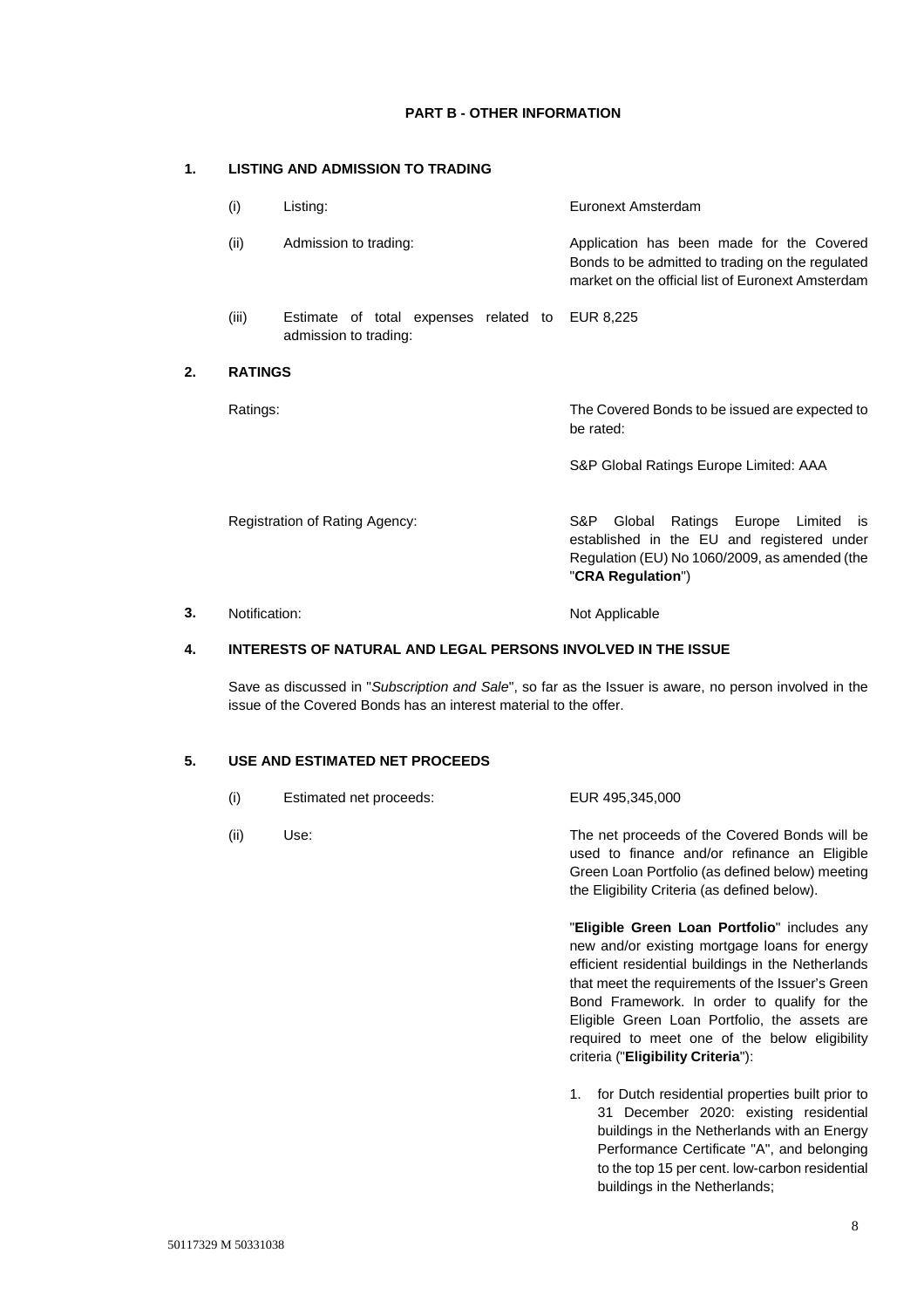# **PART B - OTHER INFORMATION**

# **1. LISTING AND ADMISSION TO TRADING**

| (i)            | Listing:                                                       | Euronext Amsterdam                                                                                                                                              |  |  |
|----------------|----------------------------------------------------------------|-----------------------------------------------------------------------------------------------------------------------------------------------------------------|--|--|
| (ii)           | Admission to trading:                                          | Application has been made for the Covered<br>Bonds to be admitted to trading on the regulated<br>market on the official list of Euronext Amsterdam              |  |  |
| (iii)          | Estimate of total expenses related to<br>admission to trading: | EUR 8,225                                                                                                                                                       |  |  |
| <b>RATINGS</b> |                                                                |                                                                                                                                                                 |  |  |
| Ratings:       |                                                                | The Covered Bonds to be issued are expected to<br>be rated:                                                                                                     |  |  |
|                |                                                                | S&P Global Ratings Europe Limited: AAA                                                                                                                          |  |  |
|                | Registration of Rating Agency:                                 | S&P.<br>Ratings Europe Limited is<br>Global<br>established in the EU and registered under<br>Regulation (EU) No 1060/2009, as amended (the<br>"CRA Regulation") |  |  |
|                |                                                                |                                                                                                                                                                 |  |  |

## **3.** Notification: Not Applicable

**2. RATINGS**

## **4. INTERESTS OF NATURAL AND LEGAL PERSONS INVOLVED IN THE ISSUE**

Save as discussed in "*Subscription and Sale*", so far as the Issuer is aware, no person involved in the issue of the Covered Bonds has an interest material to the offer.

## **5. USE AND ESTIMATED NET PROCEEDS**

| (i)  | Estimated net proceeds: | EUR 495,345,000                                                                                                                                                                                                                                                                                                                                                                                |
|------|-------------------------|------------------------------------------------------------------------------------------------------------------------------------------------------------------------------------------------------------------------------------------------------------------------------------------------------------------------------------------------------------------------------------------------|
| (ii) | Use:                    | The net proceeds of the Covered Bonds will be<br>used to finance and/or refinance an Eligible<br>Green Loan Portfolio (as defined below) meeting<br>the Eligibility Criteria (as defined below).                                                                                                                                                                                               |
|      |                         | "Eligible Green Loan Portfolio" includes any<br>new and/or existing mortgage loans for energy<br>efficient residential buildings in the Netherlands<br>that meet the requirements of the Issuer's Green<br>Bond Framework. In order to qualify for the<br>Eligible Green Loan Portfolio, the assets are<br>required to meet one of the below eligibility<br>criteria ("Eligibility Criteria"): |
|      |                         | for Dutch residential properties built prior to<br>1.                                                                                                                                                                                                                                                                                                                                          |

31 December 2020: existing residential buildings in the Netherlands with an Energy Performance Certificate "A", and belonging to the top 15 per cent. low-carbon residential buildings in the Netherlands;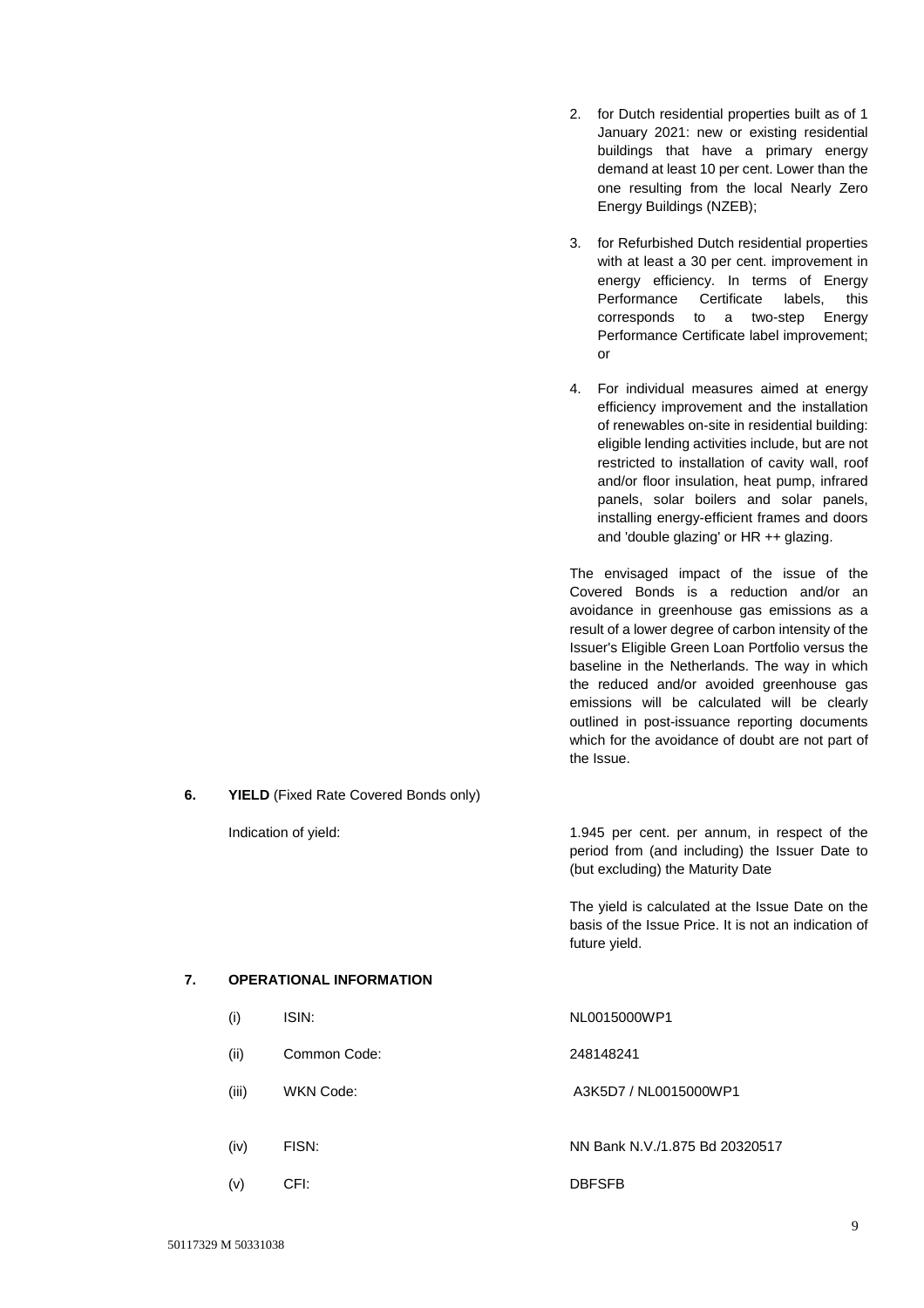- 2. for Dutch residential properties built as of 1 January 2021: new or existing residential buildings that have a primary energy demand at least 10 per cent. Lower than the one resulting from the local Nearly Zero Energy Buildings (NZEB);
- 3. for Refurbished Dutch residential properties with at least a 30 per cent. improvement in energy efficiency. In terms of Energy Performance Certificate labels, this corresponds to a two-step Energy Performance Certificate label improvement; or
- 4. For individual measures aimed at energy efficiency improvement and the installation of renewables on-site in residential building: eligible lending activities include, but are not restricted to installation of cavity wall, roof and/or floor insulation, heat pump, infrared panels, solar boilers and solar panels, installing energy-efficient frames and doors and 'double glazing' or HR ++ glazing.

The envisaged impact of the issue of the Covered Bonds is a reduction and/or an avoidance in greenhouse gas emissions as a result of a lower degree of carbon intensity of the Issuer's Eligible Green Loan Portfolio versus the baseline in the Netherlands. The way in which the reduced and/or avoided greenhouse gas emissions will be calculated will be clearly outlined in post-issuance reporting documents which for the avoidance of doubt are not part of the Issue.

**6. YIELD** (Fixed Rate Covered Bonds only)

Indication of yield: 1.945 per cent. per annum, in respect of the period from (and including) the Issuer Date to (but excluding) the Maturity Date

> The yield is calculated at the Issue Date on the basis of the Issue Price. It is not an indication of future yield.

## **7. OPERATIONAL INFORMATION**

- (i) ISIN: NL0015000WP1
- (ii) Common Code: 248148241
- (iii) WKN Code: A3K5D7 / NL0015000WP1
- (iv) FISN: NN Bank N.V./1.875 Bd 20320517
- (v) CFI: DBFSFB